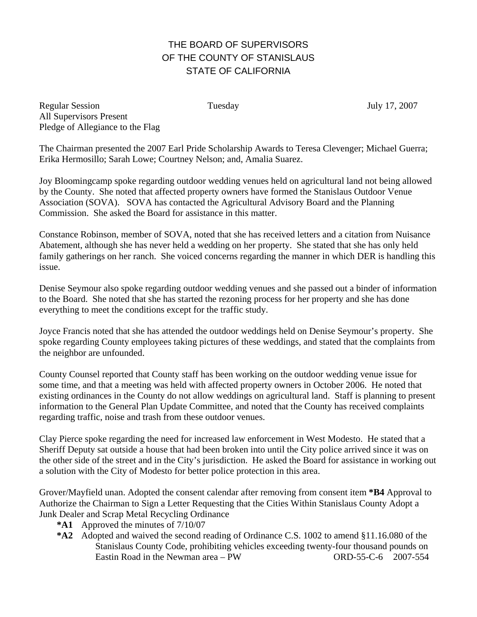## THE BOARD OF SUPERVISORS OF THE COUNTY OF STANISLAUS STATE OF CALIFORNIA

Regular Session Tuesday July 17, 2007 All Supervisors Present Pledge of Allegiance to the Flag

The Chairman presented the 2007 Earl Pride Scholarship Awards to Teresa Clevenger; Michael Guerra; Erika Hermosillo; Sarah Lowe; Courtney Nelson; and, Amalia Suarez.

Joy Bloomingcamp spoke regarding outdoor wedding venues held on agricultural land not being allowed by the County. She noted that affected property owners have formed the Stanislaus Outdoor Venue Association (SOVA). SOVA has contacted the Agricultural Advisory Board and the Planning Commission. She asked the Board for assistance in this matter.

Constance Robinson, member of SOVA, noted that she has received letters and a citation from Nuisance Abatement, although she has never held a wedding on her property. She stated that she has only held family gatherings on her ranch. She voiced concerns regarding the manner in which DER is handling this issue.

Denise Seymour also spoke regarding outdoor wedding venues and she passed out a binder of information to the Board. She noted that she has started the rezoning process for her property and she has done everything to meet the conditions except for the traffic study.

Joyce Francis noted that she has attended the outdoor weddings held on Denise Seymour's property. She spoke regarding County employees taking pictures of these weddings, and stated that the complaints from the neighbor are unfounded.

County Counsel reported that County staff has been working on the outdoor wedding venue issue for some time, and that a meeting was held with affected property owners in October 2006. He noted that existing ordinances in the County do not allow weddings on agricultural land. Staff is planning to present information to the General Plan Update Committee, and noted that the County has received complaints regarding traffic, noise and trash from these outdoor venues.

Clay Pierce spoke regarding the need for increased law enforcement in West Modesto. He stated that a Sheriff Deputy sat outside a house that had been broken into until the City police arrived since it was on the other side of the street and in the City's jurisdiction. He asked the Board for assistance in working out a solution with the City of Modesto for better police protection in this area.

Grover/Mayfield unan. Adopted the consent calendar after removing from consent item **\*B4** Approval to Authorize the Chairman to Sign a Letter Requesting that the Cities Within Stanislaus County Adopt a Junk Dealer and Scrap Metal Recycling Ordinance

- **\*A1** Approved the minutes of 7/10/07
- **\*A2** Adopted and waived the second reading of Ordinance C.S. 1002 to amend §11.16.080 of the Stanislaus County Code, prohibiting vehicles exceeding twenty-four thousand pounds on Eastin Road in the Newman area – PW ORD-55-C-6 2007-554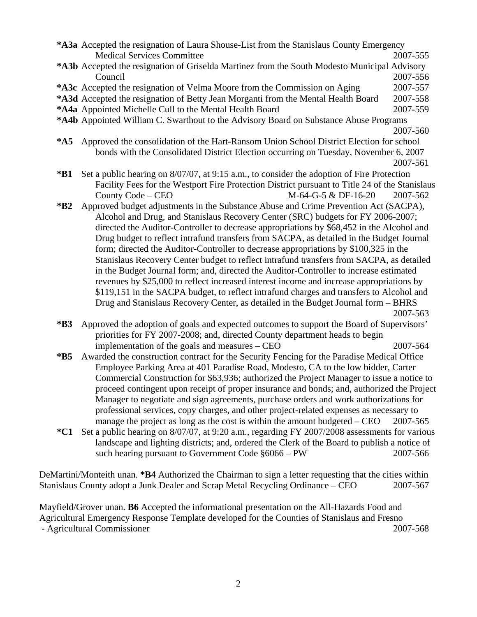|                                                                                                     | *A3a Accepted the resignation of Laura Shouse-List from the Stanislaus County Emergency<br><b>Medical Services Committee</b> | 2007-555             |  |
|-----------------------------------------------------------------------------------------------------|------------------------------------------------------------------------------------------------------------------------------|----------------------|--|
|                                                                                                     | *A3b Accepted the resignation of Griselda Martinez from the South Modesto Municipal Advisory                                 |                      |  |
|                                                                                                     | Council                                                                                                                      | 2007-556<br>2007-557 |  |
|                                                                                                     | *A3c Accepted the resignation of Velma Moore from the Commission on Aging                                                    |                      |  |
|                                                                                                     | *A3d Accepted the resignation of Betty Jean Morganti from the Mental Health Board                                            | 2007-558             |  |
|                                                                                                     | *A4a Appointed Michelle Cull to the Mental Health Board                                                                      | 2007-559             |  |
|                                                                                                     | *A4b Appointed William C. Swarthout to the Advisory Board on Substance Abuse Programs                                        |                      |  |
|                                                                                                     |                                                                                                                              | 2007-560             |  |
|                                                                                                     | *A5 Approved the consolidation of the Hart-Ransom Union School District Election for school                                  |                      |  |
|                                                                                                     | bonds with the Consolidated District Election occurring on Tuesday, November 6, 2007                                         |                      |  |
|                                                                                                     |                                                                                                                              | 2007-561             |  |
| $*B1$                                                                                               | Set a public hearing on 8/07/07, at 9:15 a.m., to consider the adoption of Fire Protection                                   |                      |  |
|                                                                                                     | Facility Fees for the Westport Fire Protection District pursuant to Title 24 of the Stanislaus                               |                      |  |
|                                                                                                     | County Code – CEO<br>M-64-G-5 & DF-16-20                                                                                     | 2007-562             |  |
| $*B2$                                                                                               | Approved budget adjustments in the Substance Abuse and Crime Prevention Act (SACPA),                                         |                      |  |
|                                                                                                     | Alcohol and Drug, and Stanislaus Recovery Center (SRC) budgets for FY 2006-2007;                                             |                      |  |
|                                                                                                     | directed the Auditor-Controller to decrease appropriations by \$68,452 in the Alcohol and                                    |                      |  |
|                                                                                                     | Drug budget to reflect intrafund transfers from SACPA, as detailed in the Budget Journal                                     |                      |  |
|                                                                                                     | form; directed the Auditor-Controller to decrease appropriations by \$100,325 in the                                         |                      |  |
|                                                                                                     | Stanislaus Recovery Center budget to reflect intrafund transfers from SACPA, as detailed                                     |                      |  |
|                                                                                                     | in the Budget Journal form; and, directed the Auditor-Controller to increase estimated                                       |                      |  |
|                                                                                                     | revenues by \$25,000 to reflect increased interest income and increase appropriations by                                     |                      |  |
|                                                                                                     | \$119,151 in the SACPA budget, to reflect intrafund charges and transfers to Alcohol and                                     |                      |  |
|                                                                                                     | Drug and Stanislaus Recovery Center, as detailed in the Budget Journal form - BHRS                                           |                      |  |
|                                                                                                     |                                                                                                                              | 2007-563             |  |
| $*B3$                                                                                               | Approved the adoption of goals and expected outcomes to support the Board of Supervisors'                                    |                      |  |
|                                                                                                     | priorities for FY 2007-2008; and, directed County department heads to begin                                                  |                      |  |
|                                                                                                     | implementation of the goals and measures – CEO                                                                               | 2007-564             |  |
| $*B5$                                                                                               | Awarded the construction contract for the Security Fencing for the Paradise Medical Office                                   |                      |  |
|                                                                                                     | Employee Parking Area at 401 Paradise Road, Modesto, CA to the low bidder, Carter                                            |                      |  |
|                                                                                                     | Commercial Construction for \$63,936; authorized the Project Manager to issue a notice to                                    |                      |  |
|                                                                                                     | proceed contingent upon receipt of proper insurance and bonds; and, authorized the Project                                   |                      |  |
|                                                                                                     | Manager to negotiate and sign agreements, purchase orders and work authorizations for                                        |                      |  |
|                                                                                                     | professional services, copy charges, and other project-related expenses as necessary to                                      |                      |  |
|                                                                                                     | manage the project as long as the cost is within the amount budgeted $-$ CEO                                                 | 2007-565             |  |
| $*C1$                                                                                               | Set a public hearing on 8/07/07, at 9:20 a.m., regarding FY 2007/2008 assessments for various                                |                      |  |
|                                                                                                     | landscape and lighting districts; and, ordered the Clerk of the Board to publish a notice of                                 |                      |  |
|                                                                                                     | such hearing pursuant to Government Code $§6066 - PW$                                                                        | 2007-566             |  |
|                                                                                                     |                                                                                                                              |                      |  |
|                                                                                                     | DeMartini/Monteith unan. *B4 Authorized the Chairman to sign a letter requesting that the cities within                      |                      |  |
|                                                                                                     | Stanislaus County adopt a Junk Dealer and Scrap Metal Recycling Ordinance – CEO                                              | 2007-567             |  |
|                                                                                                     |                                                                                                                              |                      |  |
| Mayfield/Grover unan. <b>B6</b> Accepted the informational presentation on the All-Hazards Food and |                                                                                                                              |                      |  |

Agricultural Emergency Response Template developed for the Counties of Stanislaus and Fresno - Agricultural Commissioner 2007-568